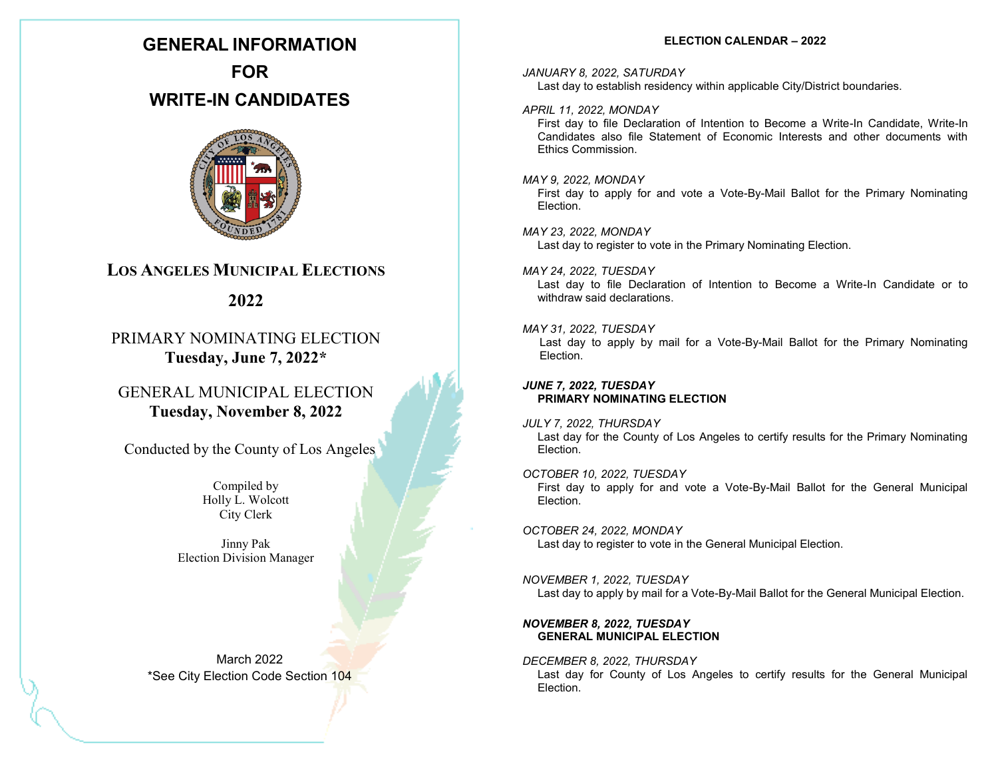# **GENERAL INFORMATION**

**FOR WRITE-IN CANDIDATES**



# **LOS ANGELES MUNICIPAL ELECTIONS**

**2022**

# PRIMARY NOMINATING ELECTION **Tuesday, June 7, 2022\***

GENERAL MUNICIPAL ELECTION **Tuesday, November 8, 2022**

Conducted by the County of Los Angeles

Compiled by Holly L. Wolcott City Clerk

Jinny Pak Election Division Manager

March 2022 \*See City Election Code Section 104

# **ELECTION CALENDAR – 2022**

## *JANUARY 8, 2022, SATURDAY*

Last day to establish residency within applicable City/District boundaries.

# *APRIL 11, 2022, MONDAY*

First day to file Declaration of Intention to Become a Write-In Candidate, Write-In Candidates also file Statement of Economic Interests and other documents with Ethics Commission.

# *MAY 9, 2022, MONDAY*

First day to apply for and vote a Vote-By-Mail Ballot for the Primary Nominating Election.

# *MAY 23, 2022, MONDAY*

Last day to register to vote in the Primary Nominating Election.

#### *MAY 24, 2022, TUESDAY*

Last day to file Declaration of Intention to Become a Write-In Candidate or to withdraw said declarations.

## *MAY 31, 2022, TUESDAY*

Last day to apply by mail for a Vote-By-Mail Ballot for the Primary Nominating Election.

# *JUNE 7, 2022, TUESDAY* **PRIMARY NOMINATING ELECTION**

# *JULY 7, 2022, THURSDAY*

Last day for the County of Los Angeles to certify results for the Primary Nominating Election.

## *OCTOBER 10, 2022, TUESDAY*

First day to apply for and vote a Vote-By-Mail Ballot for the General Municipal Election.

# *OCTOBER 24, 2022, MONDAY*

Last day to register to vote in the General Municipal Election.

#### *NOVEMBER 1, 2022, TUESDAY* Last day to apply by mail for a Vote-By-Mail Ballot for the General Municipal Election.

# *NOVEMBER 8, 2022, TUESDAY* **GENERAL MUNICIPAL ELECTION**

*DECEMBER 8, 2022, THURSDAY* Last day for County of Los Angeles to certify results for the General Municipal Election.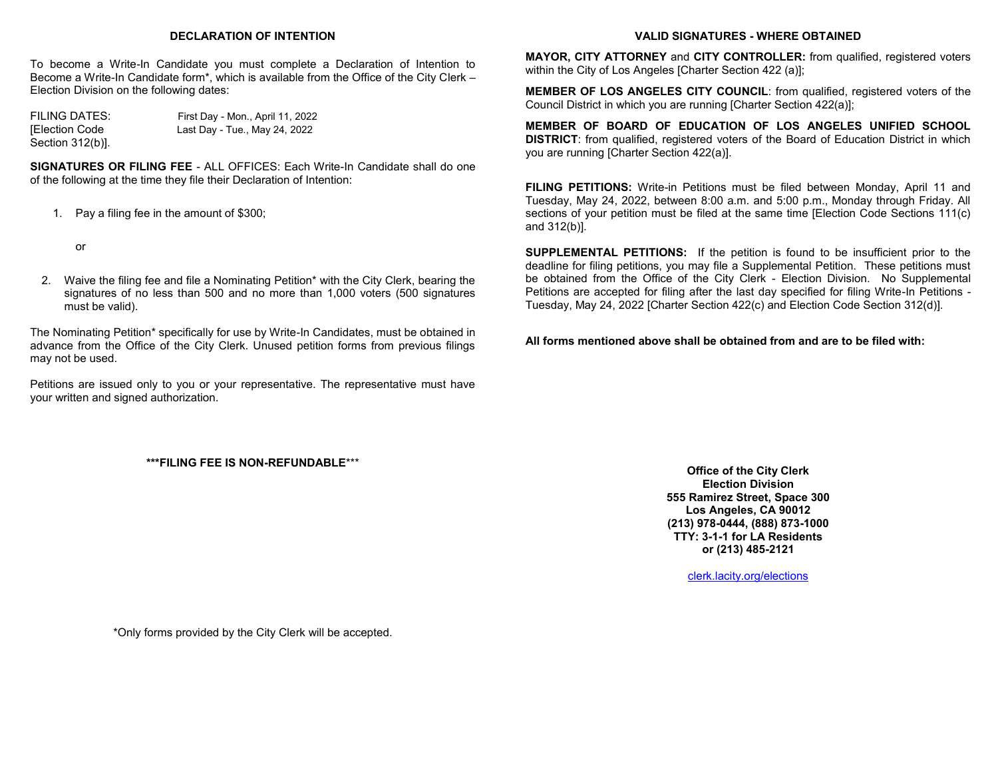## **DECLARATION OF INTENTION**

To become a Write-In Candidate you must complete a Declaration of Intention to Become a Write-In Candidate form\*, which is available from the Office of the City Clerk – Election Division on the following dates:

Section 312(b)].

FILING DATES: First Day - Mon., April 11, 2022 [Election Code Last Day - Tue., May 24, 2022

**SIGNATURES OR FILING FEE** - ALL OFFICES: Each Write-In Candidate shall do one of the following at the time they file their Declaration of Intention:

1. Pay a filing fee in the amount of \$300;

or

2. Waive the filing fee and file a Nominating Petition\* with the City Clerk, bearing the signatures of no less than 500 and no more than 1,000 voters (500 signatures must be valid).

The Nominating Petition\* specifically for use by Write-In Candidates, must be obtained in advance from the Office of the City Clerk. Unused petition forms from previous filings may not be used.

Petitions are issued only to you or your representative. The representative must have your written and signed authorization.

#### **\*\*\*FILING FEE IS NON-REFUNDABLE**\*\*\*

**VALID SIGNATURES - WHERE OBTAINED**

**MAYOR, CITY ATTORNEY** and **CITY CONTROLLER:** from qualified, registered voters within the City of Los Angeles [Charter Section 422 (a)];

**MEMBER OF LOS ANGELES CITY COUNCIL**: from qualified, registered voters of the Council District in which you are running [Charter Section 422(a)];

**MEMBER OF BOARD OF EDUCATION OF LOS ANGELES UNIFIED SCHOOL DISTRICT**: from qualified, registered voters of the Board of Education District in which you are running [Charter Section 422(a)].

**FILING PETITIONS:** Write-in Petitions must be filed between Monday, April 11 and Tuesday, May 24, 2022, between 8:00 a.m. and 5:00 p.m., Monday through Friday. All sections of your petition must be filed at the same time [Election Code Sections 111(c) and 312(b)].

**SUPPLEMENTAL PETITIONS:** If the petition is found to be insufficient prior to the deadline for filing petitions, you may file a Supplemental Petition. These petitions must be obtained from the Office of the City Clerk - Election Division. No Supplemental Petitions are accepted for filing after the last day specified for filing Write-In Petitions - Tuesday, May 24, 2022 [Charter Section 422(c) and Election Code Section 312(d)].

**All forms mentioned above shall be obtained from and are to be filed with:**

**Office of the City Clerk Election Division 555 Ramirez Street, Space 300 Los Angeles, CA 90012 (213) 978-0444, (888) 873-1000 TTY: 3-1-1 for LA Residents or (213) 485-2121**

[clerk.lacity.org/elections](https://clerk.lacity.org/clerk-services/elections)

\*Only forms provided by the City Clerk will be accepted.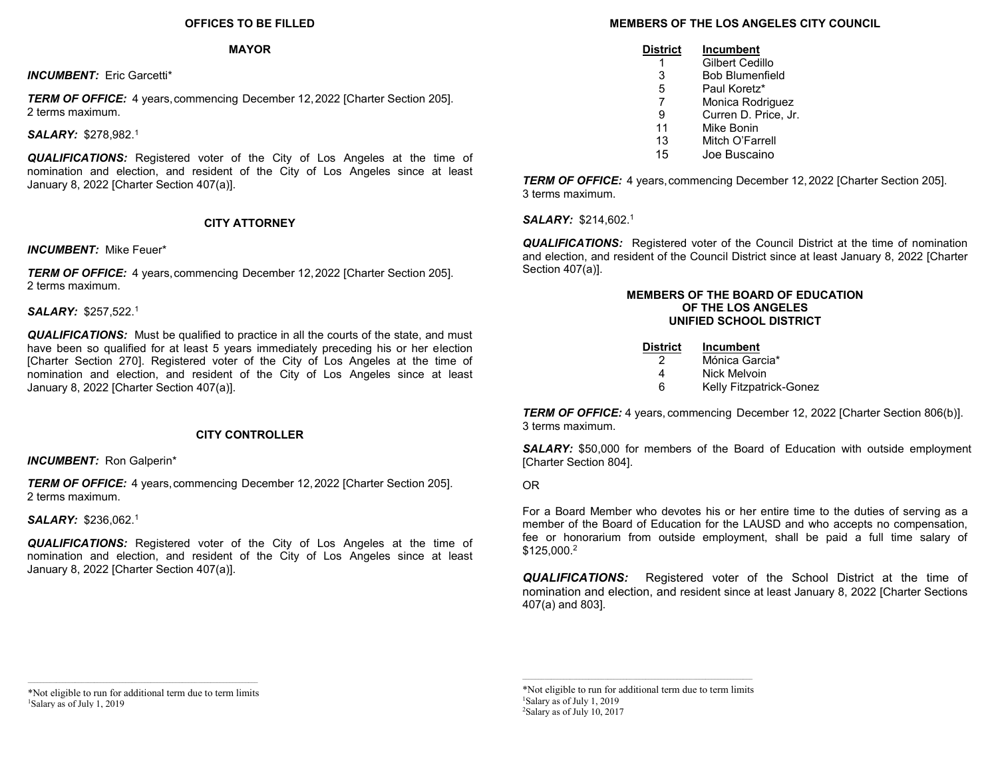## **OFFICES TO BE FILLED**

#### **MAYOR**

*INCUMBENT:* Eric Garcetti\*

*TERM OF OFFICE:* 4 years, commencing December 12, 2022 [Charter Section 205]. 2 terms maximum.

*SALARY:* \$278,982.<sup>1</sup>

*QUALIFICATIONS:* Registered voter of the City of Los Angeles at the time of nomination and election, and resident of the City of Los Angeles since at least January 8, 2022 [Charter Section 407(a)].

# **CITY ATTORNEY**

*INCUMBENT:* Mike Feuer\*

*TERM OF OFFICE:* 4 years, commencing December 12, 2022 [Charter Section 205]. 2 terms maximum.

#### *SALARY:* \$257,522.<sup>1</sup>

*QUALIFICATIONS:* Must be qualified to practice in all the courts of the state, and must have been so qualified for at least 5 years immediately preceding his or her election [Charter Section 270]. Registered voter of the City of Los Angeles at the time of nomination and election, and resident of the City of Los Angeles since at least January 8, 2022 [Charter Section 407(a)].

## **CITY CONTROLLER**

*INCUMBENT:* Ron Galperin\*

*TERM OF OFFICE:* 4 years, commencing December 12, 2022 [Charter Section 205]. 2 terms maximum.

*SALARY:* \$236,062.<sup>1</sup>

*QUALIFICATIONS:* Registered voter of the City of Los Angeles at the time of nomination and election, and resident of the City of Los Angeles since at least January 8, 2022 [Charter Section 407(a)].

# **MEMBERS OF THE LOS ANGELES CITY COUNCIL**

| <u>District</u> | <b>Incumbent</b>       |
|-----------------|------------------------|
| 1               | Gilbert Cedillo        |
| 3               | <b>Bob Blumenfield</b> |
| 5               | Paul Koretz*           |
| 7               | Monica Rodriguez       |
| 9               | Curren D. Price, Jr.   |
| 11              | Mike Bonin             |
| 13              | Mitch O'Farrell        |
| 15              | Joe Buscaino           |

*TERM OF OFFICE:* 4 years, commencing December 12, 2022 [Charter Section 205]. 3 terms maximum.

*SALARY:* \$214,602.<sup>1</sup>

*QUALIFICATIONS:* Registered voter of the Council District at the time of nomination and election, and resident of the Council District since at least January 8, 2022 [Charter Section 407(a)].

#### **MEMBERS OF THE BOARD OF EDUCATION OF THE LOS ANGELES UNIFIED SCHOOL DISTRICT**

| District | <b>Incumbent</b>        |
|----------|-------------------------|
| 2        | Mónica Garcia*          |
| Δ        | Nick Melvoin            |
| ี่ค      | Kelly Fitzpatrick-Gonez |

**TERM OF OFFICE:** 4 years, commencing December 12, 2022 [Charter Section 806(b)]. 3 terms maximum.

*SALARY:* \$50,000 for members of the Board of Education with outside employment [Charter Section 804].

OR

For a Board Member who devotes his or her entire time to the duties of serving as a member of the Board of Education for the LAUSD and who accepts no compensation, fee or honorarium from outside employment, shall be paid a full time salary of \$125,000.<sup>2</sup>

*QUALIFICATIONS:* Registered voter of the School District at the time of nomination and election, and resident since at least January 8, 2022 [Charter Sections 407(a) and 803].

\*Not eligible to run for additional term due to term limits <sup>1</sup>Salary as of July 1, 2019

\*Not eligible to run for additional term due to term limits <sup>1</sup>Salary as of July 1, 2019 <sup>2</sup>Salary as of July 10, 2017